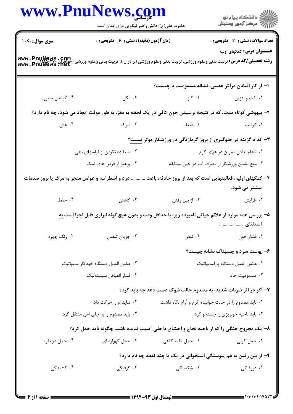|                                                                                                                                              |                                                    | www.PnuNews.com<br>حضرت علی(ع): دانش راهبر نیکویی برای ایمان است |                                                                                                            |  |
|----------------------------------------------------------------------------------------------------------------------------------------------|----------------------------------------------------|------------------------------------------------------------------|------------------------------------------------------------------------------------------------------------|--|
| <b>سری سوال :</b> یک ۱                                                                                                                       | <b>زمان آزمون (دقیقه) : تستی : 60 ٪ تشریحی : 0</b> |                                                                  | <b>تعداد سوالات : تستی : 30 - تشریحی : 0</b><br><b>عنـــوان درس:</b> کمکهای اولیه                          |  |
| <b>رشته تحصیلی/کد درس:</b> تربیت بدنی وعلوم ورزشی، تربیت بدنی وعلوم ورزشی (برادران )، تربیت بدنی وعلوم ورزشی (حواهران<br>Www . PnuNews . Het |                                                    |                                                                  |                                                                                                            |  |
|                                                                                                                                              |                                                    |                                                                  | ۱– از کار افتادن مراکز عصبی، نشانه مسمومیت با چیست؟                                                        |  |
| ۰۴ گیاهان سمی                                                                                                                                | $U$ الكل                                           | ۲. گاز                                                           | ۰۱ نفت و بنزین                                                                                             |  |
|                                                                                                                                              |                                                    |                                                                  | ۲- بیهوشی کوتاه مدت، که در نتیجه نرسیدن خون کافی در یک لحظه به مغز، به طور موقت ایجاد می شود، چه نام دارد؟ |  |
| ۰۴ غش                                                                                                                                        |                                                    | ۱. گرامپ سیست ۲. ضعف میست ۲. شوک                                 |                                                                                                            |  |
|                                                                                                                                              |                                                    |                                                                  | <b>۳- کدام گزینه در جلوگیری از بروز گرمازدگی در ورزشکار موثر نیست</b> ؟                                    |  |
|                                                                                                                                              | ۰۲ استفاده نکردن از لباسهای نخی                    | ۰۱ انجام ندادن تمرین در هوای گرم                                 |                                                                                                            |  |
|                                                                                                                                              | ۰۴ پرهيز از قرص هاي نمک                            |                                                                  | ۰۳ منع نشدن ورزشکار از مصرف آب در حین مسابقه                                                               |  |
| ۴- کمکهای اولیه، فعالیتهایی است که بعد از بروز حادثه، باعث  درد و اضطراب، و عوامل منجر به مرگ یا بروز صدمات                                  |                                                    |                                                                  | بیشتر می شود.                                                                                              |  |
| ۰۴ حفظ                                                                                                                                       | ۰۳ کاهش                                            | ۰۲ از بین رفتن                                                   | ۰۱ افزایش                                                                                                  |  |
|                                                                                                                                              |                                                    |                                                                  | ۵– بررسی همه موارد از علائم حیاتی نامبرده زیر، با حداقل وقت و بدون هیچ گونه ابزاری قابل اجرا است <u>به</u> |  |
| ۰۴ رنگ چهره                                                                                                                                  | ۰۳ جريان تنفس                                      | ۰۲ نبض                                                           | ٠١ فشار خون                                                                                                |  |
|                                                                                                                                              |                                                    |                                                                  | ۶- پوست سرد و چسبناک نشانه چیست؟                                                                           |  |
| ۰۲ عکس العمل دستگاه خودکار سمپاتیک                                                                                                           |                                                    | ٠١ عكس العمل دستكاه پاراسمپاتيك                                  |                                                                                                            |  |
|                                                                                                                                              | ۰۴ فشار انقباض سيستوليك                            |                                                                  | ۰۳ مسمومیت حاد                                                                                             |  |
|                                                                                                                                              |                                                    |                                                                  | ۷- اگر در اثر ضربات شدید، به مصدوم حالت شوک دست دهد چه باید کرد؟                                           |  |
| ۰۲ نباید او را حرکت داد.                                                                                                                     |                                                    | ۰۱ باید مصدوم را در حالت خوابیده گرم و آرام نگاه داشت.           |                                                                                                            |  |
|                                                                                                                                              | ۰۴ باید مصدوم را به جای امن منتقل کرد.             |                                                                  | ۰۳ باید ناحیه خونریزی را جستجو کرد.                                                                        |  |
|                                                                                                                                              |                                                    |                                                                  | ۸- یک مجروح جنگی را که از ناحیه نخاع و احشای داخلی آسیب ندیده باشد، چگونه باید حمل کرد؟                    |  |
| ۰۴ حمل دو نفره                                                                                                                               | ۰۳ حمل گهواره ای                                   | ۰۲ حمل تکیه گاهی                                                 | ۰۱ حمل کولی                                                                                                |  |
|                                                                                                                                              |                                                    |                                                                  | ۹– از بین رفتن به هم پیوستگی استخوانی در یک یا چند نقطه چه نام دارد؟                                       |  |
| ۰۴ کشید <i>گی</i>                                                                                                                            | ۰۳ گرفتگ <sub>ی</sub>                              | ۲. شکستگی                                                        | ۰۱ دررفتگی                                                                                                 |  |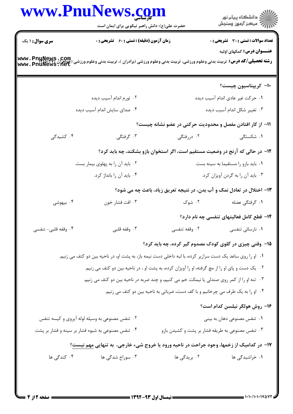|                     | www.PnuNews.com<br>حضرت علی(ع): دانش راهبر نیکویی برای ایمان است                                                                                                 |                                                                                | ر دانشگاه پيام نور<br>دانشگاه پيام نور (     |  |
|---------------------|------------------------------------------------------------------------------------------------------------------------------------------------------------------|--------------------------------------------------------------------------------|----------------------------------------------|--|
| سری سوال: ۱ یک      | <b>زمان آزمون (دقیقه) : تستی : 60 ٪ تشریحی : 0</b>                                                                                                               |                                                                                | <b>تعداد سوالات : تستی : 30 ٪ تشریحی : 0</b> |  |
|                     | <b>رشته تحصیلی/کد درس:</b> تربیت بدنی وعلوم ورزشی، تربیت بدنی وعلوم ورزشی (برادران )، تربیت بدنی وعلوم ورزشی (جواهران Www . PnuNews . Com<br>www . PnuNews . Net |                                                                                | <b>عنـــوان درس:</b> کمکهای اولیه            |  |
|                     |                                                                                                                                                                  |                                                                                | ∙۱− کریپتاسیون چیست؟                         |  |
|                     | ۰۲ تورم اندام آسیب دیده                                                                                                                                          |                                                                                | ٠١ حركت غير عادى اندام آسيب ديده             |  |
|                     | ۰۴ صدای سایش اندام آسیب دیده                                                                                                                                     |                                                                                | ۰۳ تغییر شکل اندام آسیب دیده                 |  |
|                     |                                                                                                                                                                  | 1۱– از کار افتادن مفصل و محدودیت حرکتی در عضو نشانه چیست؟                      |                                              |  |
| ۴. کشیدگی           | ۰۳ گرفتگی                                                                                                                                                        | ۰۲ دررفتگی                                                                     | ۱. شکستگی                                    |  |
|                     |                                                                                                                                                                  | ۱۲– در حالی که آرنج در وضعیت مستقیم است، اگر استخوان بازو بشکند، چه باید کرد؟  |                                              |  |
|                     | ۰۲ باید آن را به پهلوی بیمار بست.                                                                                                                                |                                                                                | ٠١ بايد بازو را مستقيما به سينه بست.         |  |
|                     | ۰۴ باید آن را بانداژ کرد.                                                                                                                                        |                                                                                | ۰۳ باید آن را به گردن آویزان کرد.            |  |
|                     |                                                                                                                                                                  | ۱۳- اختلال در تعادل نمک و آب بدن، در نتیجه تعریق زیاد، باعث چه می شود؟         |                                              |  |
| ۰۴ بیهوشی           | ۰۳ افت فشار خون                                                                                                                                                  | ۰۲ شوک                                                                         | ١. گرفتگى عضله                               |  |
|                     |                                                                                                                                                                  |                                                                                | ۱۴– قطع کامل فعالیتهای تنفسی چه نام دارد؟    |  |
| ۰۴ وقفه قلبی- تنفسی | ۰۳ وقفه قلب <i>ی</i>                                                                                                                                             | ۰۲ وقفه تنفسی                                                                  | ۰۱ نارسائی تنفسی                             |  |
|                     |                                                                                                                                                                  | ۱۵– وقتی چیزی در گلوی کودک مصدوم گیر کرده، چه باید کرد؟                        |                                              |  |
|                     | ۰۱ او را روی ساعد یک دست سرازیر کرده، با لبه داخلی دست نیمه باز، به پشت او، در ناحیه بین دو کتف می زنیم.                                                         |                                                                                |                                              |  |
|                     | ۰۲ یک دست و پای او را از مچ گرفته، او را آویزان کرده، به پشت او ، در ناحیه بین دو کتف می زنیم.                                                                   |                                                                                |                                              |  |
|                     | ۰۳ تنه او را از کمر روی صندلی یا نیمکت خم می کنیم، و چند ضربه در ناحیه بین دو کتف می زنیم.                                                                       |                                                                                |                                              |  |
|                     |                                                                                                                                                                  | ۰۴ او را به یک طرف می چرخانیم و با کف دست، ضرباتی به ناحیه بین دو کتف می زنیم. |                                              |  |
|                     |                                                                                                                                                                  |                                                                                | ۱۶- روش هولگر نیلسن کدام است؟                |  |
|                     | ۰۲ تنفس مصنوعی به وسیله لوله آیروی و کیسه تنفس                                                                                                                   |                                                                                | ۰۱ تنفس مصنوعی دهان به بینی                  |  |
|                     | ۰۴ تنفس مصنوعی به شیوه فشار بر سینه و فشار بر پشت                                                                                                                | ۰۳ تنفس مصنوعی به طریقه فشار بر پشت و کشیدن بازو                               |                                              |  |
|                     | ۱۷- در کدامیک از زخمها، وجود جراحت در ناحیه ورود یا خروج شیء خارجی، به تنهایی مهم نیست؟                                                                          |                                                                                |                                              |  |
| ۰۴ کندگی ها         | ۰۳ سوراخ شدگی ها                                                                                                                                                 | ۰۲ بریدگی ها                                                                   | ۰۱ خراشیدگی ها                               |  |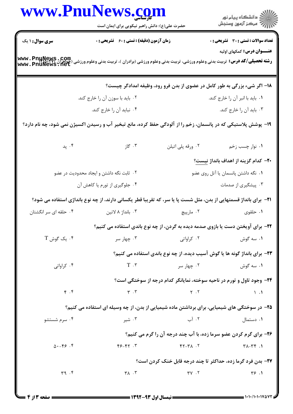| www.PnuNews.com                 |                                                                                                                                                                  |                      |                                                                                    |  |
|---------------------------------|------------------------------------------------------------------------------------------------------------------------------------------------------------------|----------------------|------------------------------------------------------------------------------------|--|
|                                 | حضرت علی(ع): دانش راهبر نیکویی برای ایمان است                                                                                                                    |                      | ر<br>پر دانشگاه پيام نور<br>پر مرکز آزمون وسنجش                                    |  |
| <b>سری سوال : ۱ یک</b>          | زمان آزمون (دقیقه) : تستی : 60 ٪ تشریحی : 0                                                                                                                      |                      | <b>تعداد سوالات : تستی : 30 ٪ تشریحی : 0</b>                                       |  |
|                                 | <b>رشته تحصیلی/کد درس:</b> تربیت بدنی وعلوم ورزشی، تربیت بدنی وعلوم ورزشی (برادران )، تربیت بدنی وعلوم ورزشی (جواهران Www . PnuNewS . Com<br>Www . PnuNewS . Net |                      | <b>عنـــوان درس:</b> کمکهای اولیه                                                  |  |
|                                 |                                                                                                                                                                  |                      |                                                                                    |  |
|                                 |                                                                                                                                                                  |                      | ۱۸– اگر شیء بزرگی به طور کامل در عضوی از بدن فرو رود، وظیفه امدادگر چیست؟          |  |
|                                 | ۰۲ باید با سوزن آن را خارج کند.                                                                                                                                  |                      | ۰۱ باید با انبر آن را خارج کند.                                                    |  |
|                                 | ۰۴ نباید آن را خارج کند.                                                                                                                                         |                      | ۰۳ باید آن را خارج کند.                                                            |  |
|                                 | ۱۹- پوشش پلاستیکی که در پانسمان، زخم را از آلودگی حفظ کرده، مانع تبخیر آب و رسیدن اکسیژن نمی شود، چه نام دارد؟                                                   |                      |                                                                                    |  |
|                                 | ۰۳ گاز<br>بد پد $\cdot$ ۴                                                                                                                                        | ۰۲ ورقه پلی اتیلن    | ۰۱ نوار چسب زخم                                                                    |  |
|                                 |                                                                                                                                                                  |                      | +۲- كدام گزينه از اهداف بانداژ <u>نيست</u> ؟                                       |  |
|                                 | ۰۲ ثابت نگه داشتن و ایجاد محدودیت در عضو                                                                                                                         |                      | ۰۱ نگه داشتن پانسمان یا آتل روی عضو                                                |  |
|                                 | ۰۴ جلوگیری از تورم یا کاهش آن                                                                                                                                    |                      | ۰۳ پیشگیری از صدمات                                                                |  |
|                                 | <b>۲۱</b> - برای بانداژ قسمتهایی از بدن، مثل شست پا یا سر، که تقریبا قطر یکسانی دارند، از چه نوع بانداژی استفاده می شود؟                                         |                      |                                                                                    |  |
| ۰۴ حلقه ای سر انگشتان           | ۰۳ بانداژ ۸ لاتين                                                                                                                                                | ۰۲ مارپيچ            | ۰۱ حلقوی                                                                           |  |
|                                 |                                                                                                                                                                  |                      | ۲۲- برای آویختن دست یا بازوی صدمه دیده به گردن، از چه نوع باندی استفاده می کنیم؟   |  |
| $T$ . یک گوش $\cdot$ ۴          | ۰۳ چهار سر                                                                                                                                                       | ۰۲ کراواتی           | ۰۱ سه گوش                                                                          |  |
|                                 |                                                                                                                                                                  |                      | <b>۲۳</b> – برای بانداژ گونه ها یا گوش آسیب دیده، از چه نوع باندی استفاده می کنیم؟ |  |
| ۰۴ کراواتی                      | $T \cdot r$                                                                                                                                                      | ۰۲ چهار سر           | ۰۱ سه گوش                                                                          |  |
|                                 |                                                                                                                                                                  |                      | ۲۴- وجود تاول و تورم در ناحیه سوخته، نمایانگر کدام درجه از سوختگی است؟             |  |
| $\mathfrak{f}$ . $\mathfrak{f}$ | $\mathbf{r}$ . $\mathbf{r}$                                                                                                                                      | $Y \cdot Y$          | $\setminus$ $\cdot$ $\setminus$                                                    |  |
|                                 | ۲۵- در سوختگی های شیمیایی، برای برداشتن ماده شیمیایی از بدن، از چه وسیله ای استفاده می کنیم؟                                                                     |                      |                                                                                    |  |
| ۰۴ سرم شستشو                    | ۰۳ شیر                                                                                                                                                           | ۰۲ آب                | ۰۱ دستمال                                                                          |  |
|                                 |                                                                                                                                                                  |                      | ۲۶- برای گرم کردن عضو سرما زده، با آب چند درجه آن را گرم می کنیم؟                  |  |
| $0. - F$ $5. F$                 | $Y - Y + 7$                                                                                                                                                      | $Y - Y$              | $Y-\gamma\gamma$ .                                                                 |  |
|                                 |                                                                                                                                                                  |                      | <b>۲۷- بدن فرد گرما زده، حداکثر تا چند درجه قابل خنک کردن است؟</b>                 |  |
| 49.5                            | $\mathsf{r} \wedge \cdot \mathsf{r}$                                                                                                                             | $\Upsilon V \cdot V$ | Y5.1                                                                               |  |
|                                 |                                                                                                                                                                  |                      |                                                                                    |  |